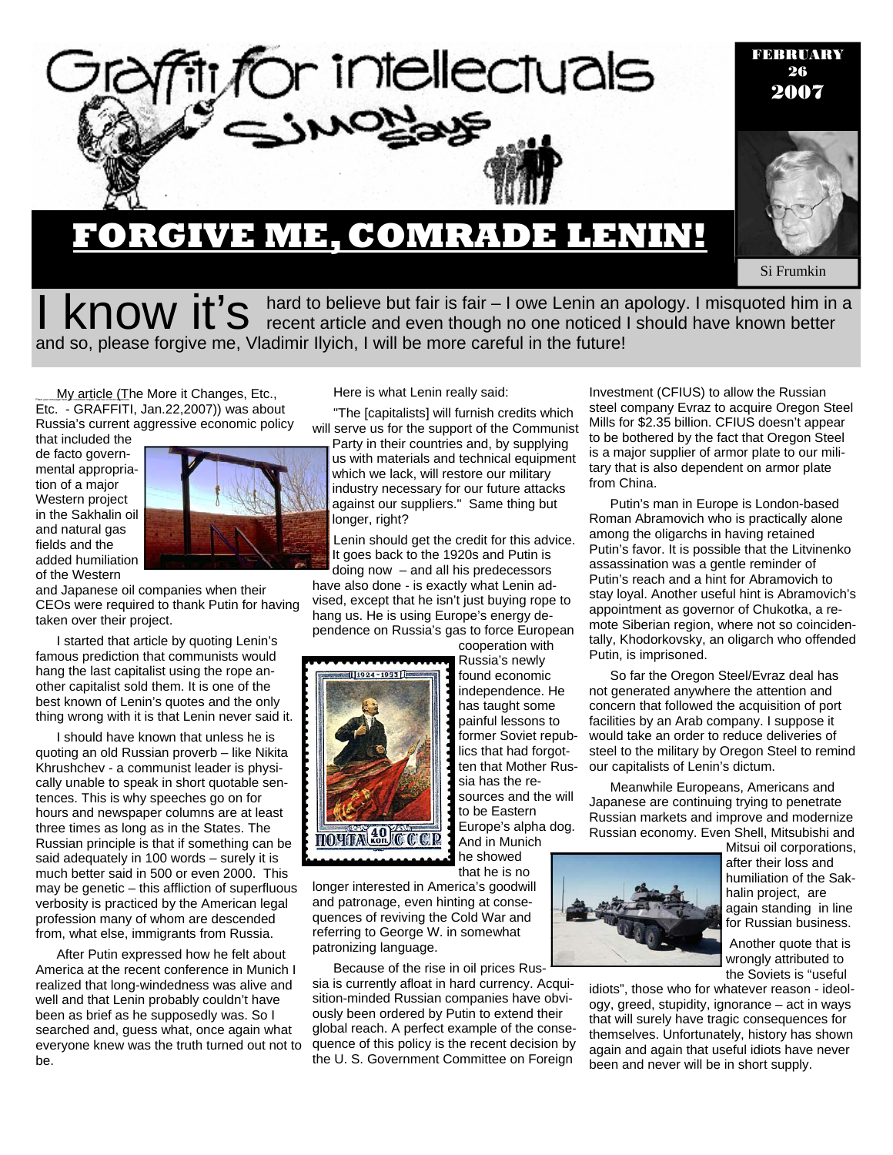

I Know it's hard to believe but fair is fair – I owe Lenin an apology. I misquoted him in a recent article and even though no one noticed I should have known better and so, please forgive me, Vladimir Ilyich, I will be more careful in the future!

My article (The More it Changes, Etc., Etc. - GRAFFITI, Jan.22,2007)) was about Russia's current aggressive economic policy

that included the de facto governmental appropriation of a major Western project in the Sakhalin oil and natural gas fields and the added humiliation of the Western



and Japanese oil companies when their CEOs were required to thank Putin for having taken over their project.

I started that article by quoting Lenin's famous prediction that communists would hang the last capitalist using the rope another capitalist sold them. It is one of the best known of Lenin's quotes and the only thing wrong with it is that Lenin never said it.

I should have known that unless he is quoting an old Russian proverb – like Nikita Khrushchev - a communist leader is physically unable to speak in short quotable sentences. This is why speeches go on for hours and newspaper columns are at least three times as long as in the States. The Russian principle is that if something can be said adequately in 100 words – surely it is much better said in 500 or even 2000. This may be genetic – this affliction of superfluous verbosity is practiced by the American legal profession many of whom are descended from, what else, immigrants from Russia.

After Putin expressed how he felt about America at the recent conference in Munich I realized that long-windedness was alive and well and that Lenin probably couldn't have been as brief as he supposedly was. So I searched and, guess what, once again what everyone knew was the truth turned out not to be.

Here is what Lenin really said:

"The [capitalists] will furnish credits which will serve us for the support of the Communist Party in their countries and, by supplying us with materials and technical equipment which we lack, will restore our military industry necessary for our future attacks against our suppliers." Same thing but longer, right?

Lenin should get the credit for this advice. It goes back to the 1920s and Putin is doing now – and all his predecessors have also done - is exactly what Lenin advised, except that he isn't just buying rope to hang us. He is using Europe's energy dependence on Russia's gas to force European



cooperation with Russia's newly found economic independence. He has taught some painful lessons to former Soviet republics that had forgotten that Mother Russia has the resources and the will to be Eastern Europe's alpha dog. And in Munich he showed that he is no

longer interested in America's goodwill and patronage, even hinting at consequences of reviving the Cold War and referring to George W. in somewhat patronizing language.

Because of the rise in oil prices Russia is currently afloat in hard currency. Acquisition-minded Russian companies have obviously been ordered by Putin to extend their global reach. A perfect example of the consequence of this policy is the recent decision by the U. S. Government Committee on Foreign

Investment (CFIUS) to allow the Russian steel company Evraz to acquire Oregon Steel Mills for \$2.35 billion. CFIUS doesn't appear to be bothered by the fact that Oregon Steel is a major supplier of armor plate to our military that is also dependent on armor plate from China.

Putin's man in Europe is London-based Roman Abramovich who is practically alone among the oligarchs in having retained Putin's favor. It is possible that the Litvinenko assassination was a gentle reminder of Putin's reach and a hint for Abramovich to stay loyal. Another useful hint is Abramovich's appointment as governor of Chukotka, a remote Siberian region, where not so coincidentally, Khodorkovsky, an oligarch who offended Putin, is imprisoned.

So far the Oregon Steel/Evraz deal has not generated anywhere the attention and concern that followed the acquisition of port facilities by an Arab company. I suppose it would take an order to reduce deliveries of steel to the military by Oregon Steel to remind our capitalists of Lenin's dictum.

Meanwhile Europeans, Americans and Japanese are continuing trying to penetrate Russian markets and improve and modernize Russian economy. Even Shell, Mitsubishi and



Mitsui oil corporations, after their loss and humiliation of the Sakhalin project, are again standing in line for Russian business.

 Another quote that is wrongly attributed to the Soviets is "useful

idiots", those who for whatever reason - ideology, greed, stupidity, ignorance – act in ways that will surely have tragic consequences for themselves. Unfortunately, history has shown again and again that useful idiots have never been and never will be in short supply.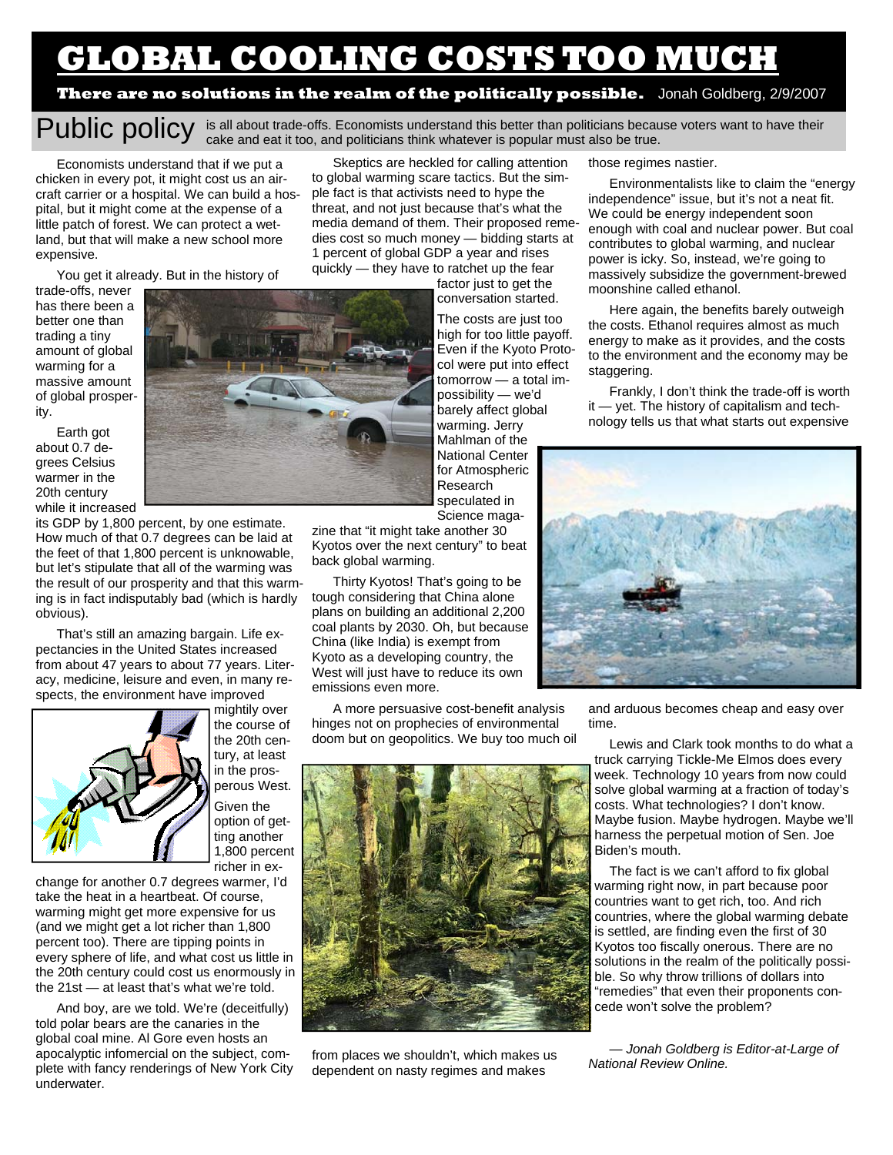# **GLOBAL COOLING COSTS TOO MUCH**

#### **There are no solutions in the realm of the politically possible.** Jonah Goldberg, 2/9/2007

 $\text{Public policy}$  is all about trade-offs. Economists understand this better than politicians because voters want to have their  $\text{Pubble policy}$  cake and est it to and politicians think whatever is popular must also be true. cake and eat it too, and politicians think whatever is popular must also be true.

Economists understand that if we put a chicken in every pot, it might cost us an aircraft carrier or a hospital. We can build a hospital, but it might come at the expense of a little patch of forest. We can protect a wetland, but that will make a new school more expensive.

You get it already. But in the history of

trade-offs, never has there been a better one than trading a tiny amount of global warming for a massive amount of global prosperity.

Earth got about 0.7 degrees Celsius warmer in the 20th century while it increased

its GDP by 1,800 percent, by one estimate. How much of that 0.7 degrees can be laid at the feet of that 1,800 percent is unknowable, but let's stipulate that all of the warming was the result of our prosperity and that this warming is in fact indisputably bad (which is hardly obvious).

That's still an amazing bargain. Life expectancies in the United States increased from about 47 years to about 77 years. Literacy, medicine, leisure and even, in many respects, the environment have improved



mightily over the course of the 20th century, at least in the prosperous West. Given the option of getting another 1,800 percent richer in ex-

change for another 0.7 degrees warmer, I'd take the heat in a heartbeat. Of course, warming might get more expensive for us (and we might get a lot richer than 1,800 percent too). There are tipping points in every sphere of life, and what cost us little in the 20th century could cost us enormously in the 21st — at least that's what we're told.

And boy, are we told. We're (deceitfully) told polar bears are the canaries in the global coal mine. Al Gore even hosts an apocalyptic infomercial on the subject, complete with fancy renderings of New York City underwater.

Skeptics are heckled for calling attention to global warming scare tactics. But the simple fact is that activists need to hype the threat, and not just because that's what the media demand of them. Their proposed remedies cost so much money — bidding starts at 1 percent of global GDP a year and rises quickly — they have to ratchet up the fear

factor just to get the conversation started.

The costs are just too high for too little payoff. Even if the Kyoto Protocol were put into effect tomorrow — a total impossibility — we'd barely affect global warming. Jerry Mahlman of the National Center for Atmospheric Research speculated in Science maga-

zine that "it might take another 30 Kyotos over the next century" to beat back global warming.

Thirty Kyotos! That's going to be tough considering that China alone plans on building an additional 2,200 coal plants by 2030. Oh, but because China (like India) is exempt from Kyoto as a developing country, the West will just have to reduce its own emissions even more.

A more persuasive cost-benefit analysis hinges not on prophecies of environmental doom but on geopolitics. We buy too much oil



from places we shouldn't, which makes us dependent on nasty regimes and makes

those regimes nastier.

Environmentalists like to claim the "energy independence" issue, but it's not a neat fit. We could be energy independent soon enough with coal and nuclear power. But coal contributes to global warming, and nuclear power is icky. So, instead, we're going to massively subsidize the government-brewed moonshine called ethanol.

Here again, the benefits barely outweigh the costs. Ethanol requires almost as much energy to make as it provides, and the costs to the environment and the economy may be staggering.

Frankly, I don't think the trade-off is worth it — yet. The history of capitalism and technology tells us that what starts out expensive



and arduous becomes cheap and easy over time.

Lewis and Clark took months to do what a truck carrying Tickle-Me Elmos does every week. Technology 10 years from now could solve global warming at a fraction of today's costs. What technologies? I don't know. Maybe fusion. Maybe hydrogen. Maybe we'll harness the perpetual motion of Sen. Joe Biden's mouth.

The fact is we can't afford to fix global warming right now, in part because poor countries want to get rich, too. And rich countries, where the global warming debate is settled, are finding even the first of 30 Kyotos too fiscally onerous. There are no solutions in the realm of the politically possible. So why throw trillions of dollars into "remedies" that even their proponents concede won't solve the problem?

*— Jonah Goldberg is Editor-at-Large of National Review Online.* 

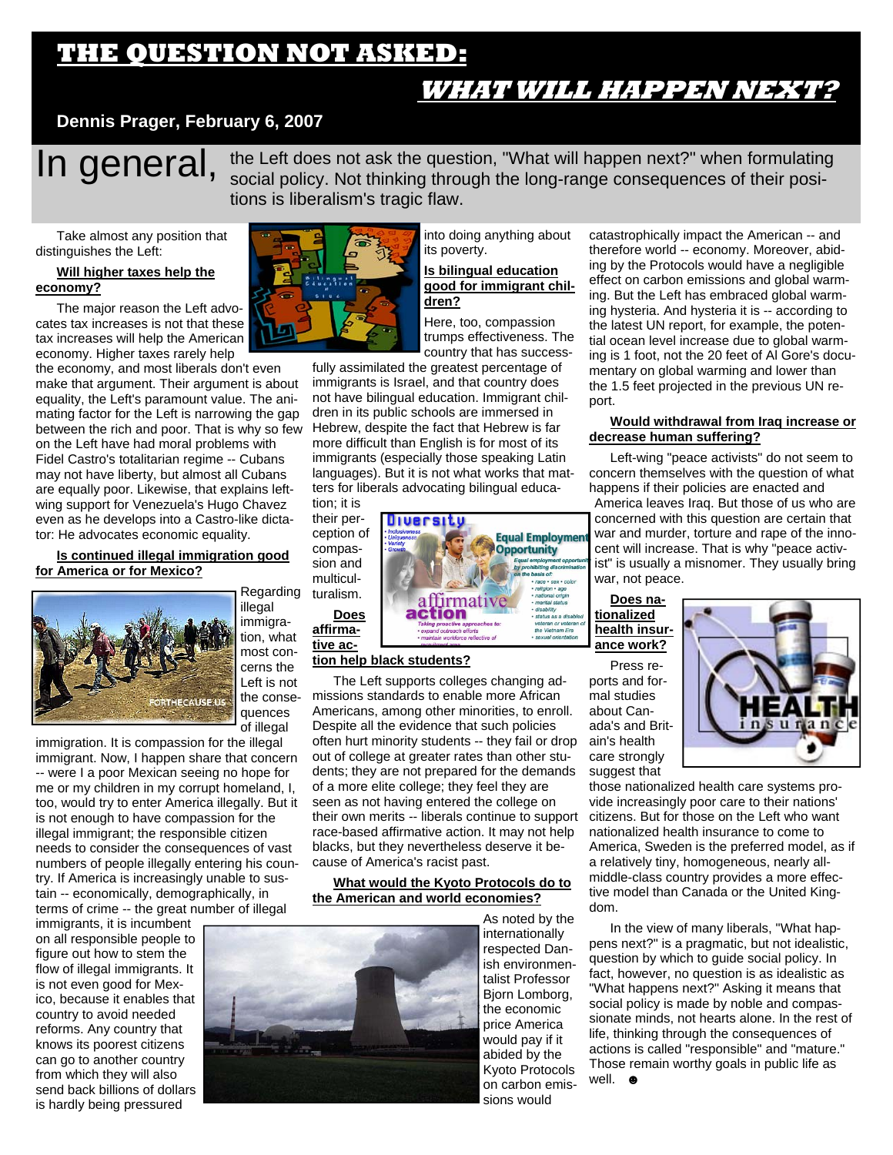## **THE QUESTION NOT ASKED:**

### **WHAT WILL HAPPEN NEXT?**

### **Dennis Prager, February 6, 2007**

In general, the Left does not ask the question, "What will happen next?" when formulating<br>In general, social policy, Not thinking through the long-range consequences of their posisocial policy. Not thinking through the long-range consequences of their positions is liberalism's tragic flaw.

Take almost any position that distinguishes the Left:

#### **Will higher taxes help the economy?**

The major reason the Left advocates tax increases is not that these tax increases will help the American economy. Higher taxes rarely help

the economy, and most liberals don't even make that argument. Their argument is about equality, the Left's paramount value. The animating factor for the Left is narrowing the gap between the rich and poor. That is why so few on the Left have had moral problems with Fidel Castro's totalitarian regime -- Cubans may not have liberty, but almost all Cubans are equally poor. Likewise, that explains leftwing support for Venezuela's Hugo Chavez even as he develops into a Castro-like dictator: He advocates economic equality.

**Is continued illegal immigration good for America or for Mexico?** 



Regarding illegal immigration, what most concerns the Left is not the consequences of illegal

immigration. It is compassion for the illegal immigrant. Now, I happen share that concern -- were I a poor Mexican seeing no hope for me or my children in my corrupt homeland, I, too, would try to enter America illegally. But it is not enough to have compassion for the illegal immigrant; the responsible citizen needs to consider the consequences of vast numbers of people illegally entering his country. If America is increasingly unable to sustain -- economically, demographically, in terms of crime -- the great number of illegal

immigrants, it is incumbent on all responsible people to figure out how to stem the flow of illegal immigrants. It is not even good for Mexico, because it enables that country to avoid needed reforms. Any country that knows its poorest citizens can go to another country from which they will also send back billions of dollars is hardly being pressured



into doing anything about its poverty.

### **Is bilingual education good for immigrant children?**

Here, too, compassion trumps effectiveness. The country that has success-

fully assimilated the greatest percentage of immigrants is Israel, and that country does not have bilingual education. Immigrant children in its public schools are immersed in Hebrew, despite the fact that Hebrew is far more difficult than English is for most of its immigrants (especially those speaking Latin languages). But it is not what works that matters for liberals advocating bilingual education; it is

their perception of compassion and multiculturalism.

**Does affirmative ac-**



#### **tion help black students?**

The Left supports colleges changing admissions standards to enable more African Americans, among other minorities, to enroll. Despite all the evidence that such policies often hurt minority students -- they fail or drop out of college at greater rates than other students; they are not prepared for the demands of a more elite college; they feel they are seen as not having entered the college on their own merits -- liberals continue to support race-based affirmative action. It may not help blacks, but they nevertheless deserve it because of America's racist past.

#### **What would the Kyoto Protocols do to the American and world economies?**



catastrophically impact the American -- and therefore world -- economy. Moreover, abiding by the Protocols would have a negligible effect on carbon emissions and global warming. But the Left has embraced global warming hysteria. And hysteria it is -- according to the latest UN report, for example, the potential ocean level increase due to global warming is 1 foot, not the 20 feet of Al Gore's documentary on global warming and lower than the 1.5 feet projected in the previous UN report.

#### **Would withdrawal from Iraq increase or decrease human suffering?**

Left-wing "peace activists" do not seem to concern themselves with the question of what happens if their policies are enacted and

America leaves Iraq. But those of us who are concerned with this question are certain that war and murder, torture and rape of the innocent will increase. That is why "peace activist" is usually a misnomer. They usually bring war, not peace.

**Does nationalized health insurance work?** 

Press reports and formal studies about Canada's and Britain's health care strongly suggest that



those nationalized health care systems provide increasingly poor care to their nations' citizens. But for those on the Left who want nationalized health insurance to come to America, Sweden is the preferred model, as if a relatively tiny, homogeneous, nearly allmiddle-class country provides a more effective model than Canada or the United Kingdom.

In the view of many liberals, "What happens next?" is a pragmatic, but not idealistic, question by which to guide social policy. In fact, however, no question is as idealistic as "What happens next?" Asking it means that social policy is made by noble and compassionate minds, not hearts alone. In the rest of life, thinking through the consequences of actions is called "responsible" and "mature." Those remain worthy goals in public life as well.  $\bullet$